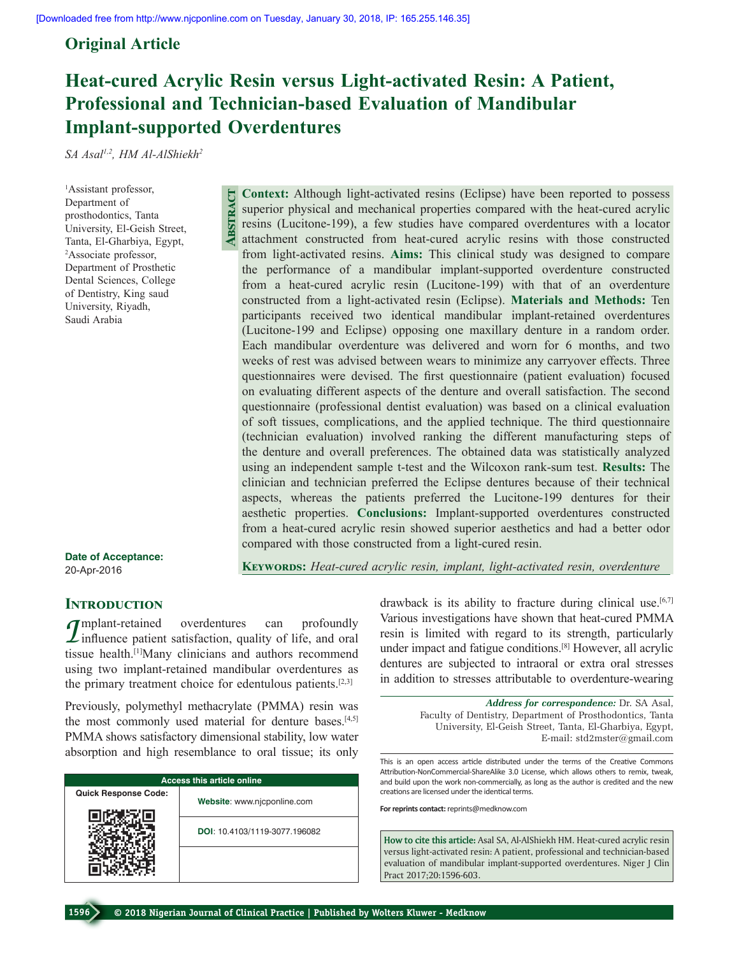**Abstract**

# **Original Article**

# **Heat-cured Acrylic Resin versus Light-activated Resin: A Patient, Professional and Technician-based Evaluation of Mandibular Implant-supported Overdentures**

*SA Asal1,2 , HM Al-AlShiekh2*

1 Assistant professor, Department of prosthodontics, Tanta University, El-Geish Street, Tanta, El-Gharbiya, Egypt, 2 Associate professor, Department of Prosthetic Dental Sciences, College of Dentistry, King saud University, Riyadh, Saudi Arabia

**Date of Acceptance:** 20-Apr-2016

**Keywords:** *Heat-cured acrylic resin, implant, light-activated resin, overdenture*

compared with those constructed from a light-cured resin.

**Context:** Although light-activated resins (Eclipse) have been reported to possess superior physical and mechanical properties compared with the heat-cured acrylic resins (Lucitone-199), a few studies have compared overdentures with a locator attachment constructed from heat-cured acrylic resins with those constructed from light-activated resins. **Aims:** This clinical study was designed to compare the performance of a mandibular implant-supported overdenture constructed from a heat-cured acrylic resin (Lucitone-199) with that of an overdenture constructed from a light-activated resin (Eclipse). **Materials and Methods:** Ten participants received two identical mandibular implant-retained overdentures (Lucitone-199 and Eclipse) opposing one maxillary denture in a random order. Each mandibular overdenture was delivered and worn for 6 months, and two weeks of rest was advised between wears to minimize any carryover effects. Three questionnaires were devised. The first questionnaire (patient evaluation) focused on evaluating different aspects of the denture and overall satisfaction. The second questionnaire (professional dentist evaluation) was based on a clinical evaluation of soft tissues, complications, and the applied technique. The third questionnaire (technician evaluation) involved ranking the different manufacturing steps of the denture and overall preferences. The obtained data was statistically analyzed using an independent sample t-test and the Wilcoxon rank-sum test. **Results:** The clinician and technician preferred the Eclipse dentures because of their technical aspects, whereas the patients preferred the Lucitone-199 dentures for their aesthetic properties. **Conclusions:** Implant-supported overdentures constructed from a heat-cured acrylic resin showed superior aesthetics and had a better odor

# **Introduction**

*I*mplant-retained overdentures can profoundly influence patient satisfaction, quality of life, and oral ties tissue health.[1]Many clinicians and authors recommend using two implant-retained mandibular overdentures as the primary treatment choice for edentulous patients.[2,3]

Previously, polymethyl methacrylate (PMMA) resin was the most commonly used material for denture bases.<sup>[4,5]</sup> PMMA shows satisfactory dimensional stability, low water absorption and high resemblance to oral tissue; its only

| <b>Access this article online</b> |                               |  |  |
|-----------------------------------|-------------------------------|--|--|
| <b>Quick Response Code:</b>       | Website: www.njcponline.com   |  |  |
|                                   | DOI: 10.4103/1119-3077.196082 |  |  |
|                                   |                               |  |  |

drawback is its ability to fracture during clinical use.<sup>[6,7]</sup> Various investigations have shown that heat-cured PMMA resin is limited with regard to its strength, particularly under impact and fatigue conditions.[8] However, all acrylic dentures are subjected to intraoral or extra oral stresses in addition to stresses attributable to overdenture-wearing

> *Address for correspondence:* Dr. SA Asal, Faculty of Dentistry, Department of Prosthodontics, Tanta University, El-Geish Street, Tanta, El-Gharbiya, Egypt, E-mail: std2mster@gmail.com

This is an open access article distributed under the terms of the Creative Commons Attribution-NonCommercial-ShareAlike 3.0 License, which allows others to remix, tweak, and build upon the work non-commercially, as long as the author is credited and the new creations are licensed under the identical terms.

**For reprints contact:** reprints@medknow.com

**How to cite this article:** Asal SA, Al-AlShiekh HM. Heat-cured acrylic resin versus light-activated resin: A patient, professional and technician-based evaluation of mandibular implant-supported overdentures. Niger J Clin Pract 2017;20:1596-603.

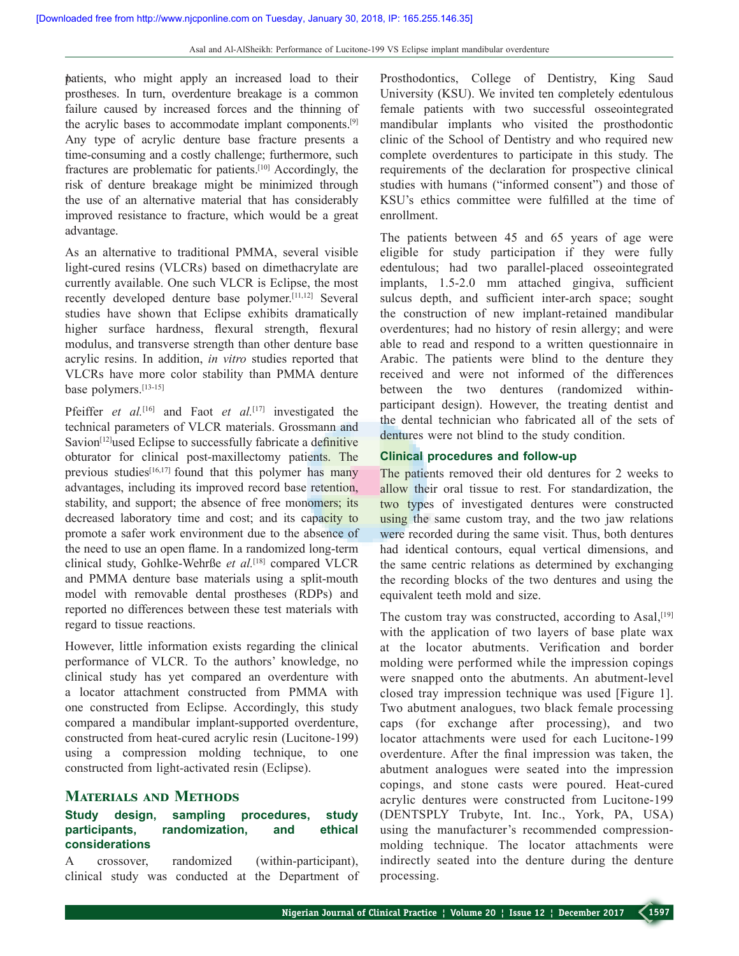patients, who might apply an increased load to their prostheses. In turn, overdenture breakage is a common failure caused by increased forces and the thinning of the acrylic bases to accommodate implant components.[9] Any type of acrylic denture base fracture presents a time-consuming and a costly challenge; furthermore, such fractures are problematic for patients.[10] Accordingly, the risk of denture breakage might be minimized through the use of an alternative material that has considerably improved resistance to fracture, which would be a great advantage.

As an alternative to traditional PMMA, several visible light-cured resins (VLCRs) based on dimethacrylate are currently available. One such VLCR is Eclipse, the most recently developed denture base polymer.[11,12] Several studies have shown that Eclipse exhibits dramatically higher surface hardness, flexural strength, flexural modulus, and transverse strength than other denture base acrylic resins. In addition, *in vitro* studies reported that VLCRs have more color stability than PMMA denture base polymers.[13-15]

Pfeiffer *et al.*<sup>[16]</sup> and Faot *et al.*<sup>[17]</sup> investigated the technical parameters of VLCR materials. Grossmann and Savion<sup>[12]</sup>used Eclipse to successfully fabricate a definitive obturator for clinical post-maxillectomy patients. The previous studies $[16,17]$  found that this polymer has many advantages, including its improved record base retention, stability, and support; the absence of free monomers; its decreased laboratory time and cost; and its capacity to promote a safer work environment due to the absence of the need to use an open flame. In a randomized long-term clinical study, Gohlke-Wehrße *et al.*[18] compared VLCR and PMMA denture base materials using a split-mouth model with removable dental prostheses (RDPs) and reported no differences between these test materials with regard to tissue reactions.

However, little information exists regarding the clinical performance of VLCR. To the authors' knowledge, no clinical study has yet compared an overdenture with a locator attachment constructed from PMMA with one constructed from Eclipse. Accordingly, this study compared a mandibular implant-supported overdenture, constructed from heat-cured acrylic resin (Lucitone-199) using a compression molding technique, to one constructed from light-activated resin (Eclipse).

# **Materials and Methods**

# **Study design, sampling procedures, study participants, randomization, and ethical considerations**

A crossover, randomized (within-participant), clinical study was conducted at the Department of Prosthodontics, College of Dentistry, King Saud University (KSU). We invited ten completely edentulous female patients with two successful osseointegrated mandibular implants who visited the prosthodontic clinic of the School of Dentistry and who required new complete overdentures to participate in this study. The requirements of the declaration for prospective clinical studies with humans ("informed consent") and those of KSU's ethics committee were fulfilled at the time of enrollment.

The patients between 45 and 65 years of age were eligible for study participation if they were fully edentulous; had two parallel-placed osseointegrated implants, 1.5-2.0 mm attached gingiva, sufficient sulcus depth, and sufficient inter-arch space; sought the construction of new implant-retained mandibular overdentures; had no history of resin allergy; and were able to read and respond to a written questionnaire in Arabic. The patients were blind to the denture they received and were not informed of the differences between the two dentures (randomized withinparticipant design). However, the treating dentist and the dental technician who fabricated all of the sets of dentures were not blind to the study condition.

#### **Clinical procedures and follow-up**

The patients removed their old dentures for 2 weeks to allow their oral tissue to rest. For standardization, the two types of investigated dentures were constructed using the same custom tray, and the two jaw relations were recorded during the same visit. Thus, both dentures had identical contours, equal vertical dimensions, and the same centric relations as determined by exchanging the recording blocks of the two dentures and using the equivalent teeth mold and size.

The custom tray was constructed, according to Asal,  $[19]$ with the application of two layers of base plate wax at the locator abutments. Verification and border molding were performed while the impression copings were snapped onto the abutments. An abutment-level closed tray impression technique was used [Figure 1]. Two abutment analogues, two black female processing caps (for exchange after processing), and two locator attachments were used for each Lucitone-199 overdenture. After the final impression was taken, the abutment analogues were seated into the impression copings, and stone casts were poured. Heat-cured acrylic dentures were constructed from Lucitone-199 (DENTSPLY Trubyte, Int. Inc., York, PA, USA) using the manufacturer's recommended compressionmolding technique. The locator attachments were indirectly seated into the denture during the denture processing.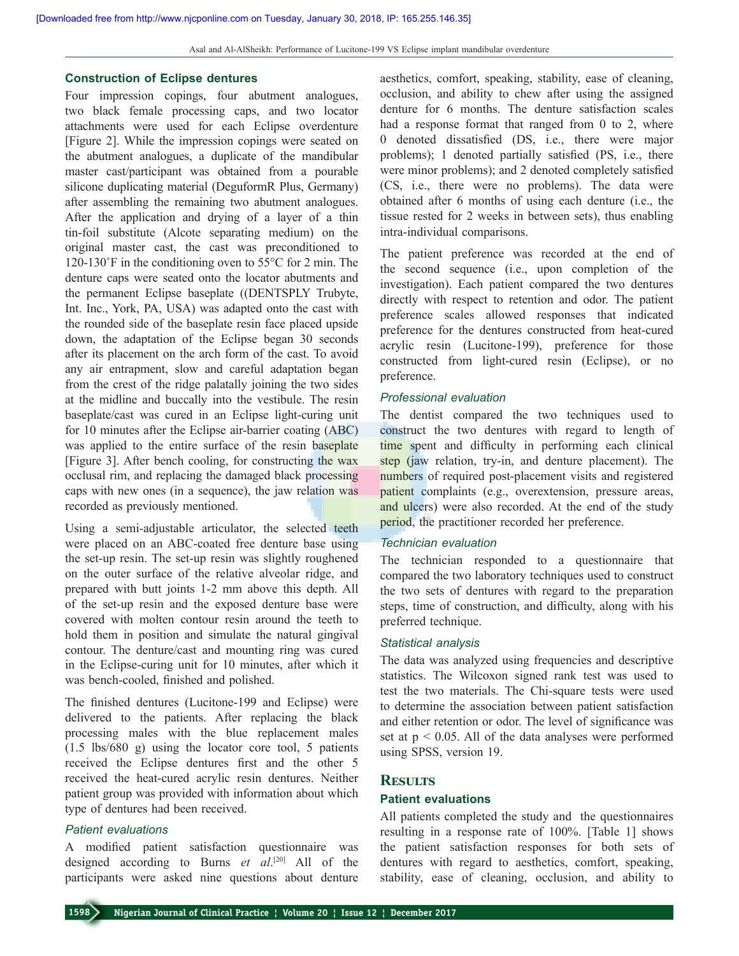#### **Construction of Eclipse dentures**

Four impression copings, four abutment analogues, two black female processing caps, and two locator attachments were used for each Eclipse overdenture [Figure 2]. While the impression copings were seated on the abutment analogues, a duplicate of the mandibular master cast/participant was obtained from a pourable silicone duplicating material (DeguformR Plus, Germany) after assembling the remaining two abutment analogues. After the application and drying of a layer of a thin tin-foil substitute (Alcote separating medium) on the original master cast, the cast was preconditioned to 120-130˚F in the conditioning oven to 55°C for 2 min. The denture caps were seated onto the locator abutments and the permanent Eclipse baseplate ((DENTSPLY Trubyte, Int. Inc., York, PA, USA) was adapted onto the cast with the rounded side of the baseplate resin face placed upside down, the adaptation of the Eclipse began 30 seconds after its placement on the arch form of the cast. To avoid any air entrapment, slow and careful adaptation began from the crest of the ridge palatally joining the two sides at the midline and buccally into the vestibule. The resin baseplate/cast was cured in an Eclipse light-curing unit for 10 minutes after the Eclipse air-barrier coating (ABC) was applied to the entire surface of the resin baseplate [Figure 3]. After bench cooling, for constructing the wax occlusal rim, and replacing the damaged black processing caps with new ones (in a sequence), the jaw relation was recorded as previously mentioned.

Using a semi-adjustable articulator, the selected teeth were placed on an ABC-coated free denture base using the set-up resin. The set-up resin was slightly roughened on the outer surface of the relative alveolar ridge, and prepared with butt joints 1-2 mm above this depth. All of the set-up resin and the exposed denture base were covered with molten contour resin around the teeth to hold them in position and simulate the natural gingival contour. The denture/cast and mounting ring was cured in the Eclipse-curing unit for 10 minutes, after which it was bench-cooled, finished and polished.

The finished dentures (Lucitone-199 and Eclipse) were delivered to the patients. After replacing the black processing males with the blue replacement males (1.5 lbs/680 g) using the locator core tool, 5 patients received the Eclipse dentures first and the other 5 received the heat-cured acrylic resin dentures. Neither patient group was provided with information about which type of dentures had been received.

#### *Patient evaluations*

A modified patient satisfaction questionnaire was designed according to Burns *et al*. [20] All of the participants were asked nine questions about denture

aesthetics, comfort, speaking, stability, ease of cleaning, occlusion, and ability to chew after using the assigned denture for 6 months. The denture satisfaction scales had a response format that ranged from 0 to 2, where 0 denoted dissatisfied (DS, i.e., there were major problems); 1 denoted partially satisfied (PS, i.e., there were minor problems); and 2 denoted completely satisfied (CS, i.e., there were no problems). The data were obtained after 6 months of using each denture (i.e., the tissue rested for 2 weeks in between sets), thus enabling intra-individual comparisons.

The patient preference was recorded at the end of the second sequence (i.e., upon completion of the investigation). Each patient compared the two dentures directly with respect to retention and odor. The patient preference scales allowed responses that indicated preference for the dentures constructed from heat-cured acrylic resin (Lucitone-199), preference for those constructed from light-cured resin (Eclipse), or no preference.

#### *Professional evaluation*

The dentist compared the two techniques used to construct the two dentures with regard to length of time spent and difficulty in performing each clinical step (jaw relation, try-in, and denture placement). The numbers of required post-placement visits and registered patient complaints (e.g., overextension, pressure areas, and ulcers) were also recorded. At the end of the study period, the practitioner recorded her preference.

#### *Technician evaluation*

The technician responded to a questionnaire that compared the two laboratory techniques used to construct the two sets of dentures with regard to the preparation steps, time of construction, and difficulty, along with his preferred technique.

#### *Statistical analysis*

The data was analyzed using frequencies and descriptive statistics. The Wilcoxon signed rank test was used to test the two materials. The Chi-square tests were used to determine the association between patient satisfaction and either retention or odor. The level of significance was set at  $p < 0.05$ . All of the data analyses were performed using SPSS, version 19.

#### **Results**

#### **Patient evaluations**

All patients completed the study and the questionnaires resulting in a response rate of 100%. [Table 1] shows the patient satisfaction responses for both sets of dentures with regard to aesthetics, comfort, speaking, stability, ease of cleaning, occlusion, and ability to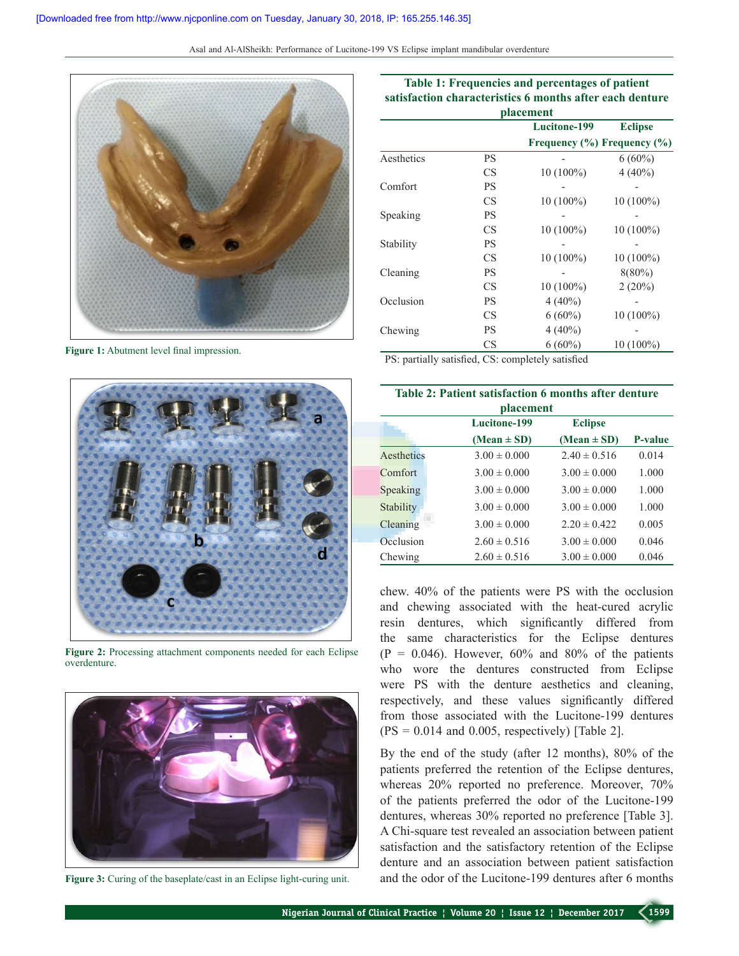

**Figure 1:** Abutment level final impression.



**Figure 2:** Processing attachment components needed for each Eclipse overdenture.



**Figure 3:** Curing of the baseplate/cast in an Eclipse light-curing unit.

|            |    | placement    |                             |
|------------|----|--------------|-----------------------------|
|            |    | Lucitone-199 | <b>Eclipse</b>              |
|            |    |              | Frequency (%) Frequency (%) |
| Aesthetics | PS |              | $6(60\%)$                   |
|            | CS | $10(100\%)$  | $4(40\%)$                   |
| Comfort    | PS |              |                             |
|            | CS | $10(100\%)$  | $10(100\%)$                 |
| Speaking   | PS |              |                             |
|            | CS | $10(100\%)$  | $10(100\%)$                 |
| Stability  | PS |              |                             |
|            | CS | $10(100\%)$  | $10(100\%)$                 |
| Cleaning   | PS |              | $8(80\%)$                   |
|            | CS | $10(100\%)$  | $2(20\%)$                   |
| Occlusion  | PS | $4(40\%)$    |                             |
|            | CS | $6(60\%)$    | $10(100\%)$                 |
| Chewing    | PS | $4(40\%)$    |                             |
|            | CS | $6(60\%)$    | $10(100\%)$                 |

**Table 1: Frequencies and percentages of patient satisfaction characteristics 6 months after each denture** 

PS: partially satisfied, CS: completely satisfied

| Table 2: Patient satisfaction 6 months after denture<br><i>placement</i> |                     |                  |                |  |
|--------------------------------------------------------------------------|---------------------|------------------|----------------|--|
|                                                                          | <b>Lucitone-199</b> | <b>Eclipse</b>   |                |  |
|                                                                          | $(Mean \pm SD)$     | $(Mean \pm SD)$  | <b>P-value</b> |  |
| Aesthetics                                                               | $3.00 \pm 0.000$    | $2.40 \pm 0.516$ | 0.014          |  |
| Comfort                                                                  | $3.00 \pm 0.000$    | $3.00 \pm 0.000$ | 1.000          |  |
| Speaking                                                                 | $3.00 \pm 0.000$    | $3.00 \pm 0.000$ | 1.000          |  |
| Stability                                                                | $3.00 \pm 0.000$    | $3.00 \pm 0.000$ | 1.000          |  |
| Cleaning                                                                 | $3.00 \pm 0.000$    | $2.20 \pm 0.422$ | 0.005          |  |
| Occlusion                                                                | $2.60 \pm 0.516$    | $3.00 \pm 0.000$ | 0.046          |  |
| Chewing                                                                  | $2.60 \pm 0.516$    | $3.00 \pm 0.000$ | 0.046          |  |

chew. 40% of the patients were PS with the occlusion and chewing associated with the heat-cured acrylic resin dentures, which significantly differed from the same characteristics for the Eclipse dentures  $(P = 0.046)$ . However, 60% and 80% of the patients who wore the dentures constructed from Eclipse were PS with the denture aesthetics and cleaning, respectively, and these values significantly differed from those associated with the Lucitone-199 dentures  $(PS = 0.014$  and 0.005, respectively) [Table 2].

By the end of the study (after 12 months), 80% of the patients preferred the retention of the Eclipse dentures, whereas 20% reported no preference. Moreover, 70% of the patients preferred the odor of the Lucitone-199 dentures, whereas 30% reported no preference [Table 3]. A Chi-square test revealed an association between patient satisfaction and the satisfactory retention of the Eclipse denture and an association between patient satisfaction and the odor of the Lucitone-199 dentures after 6 months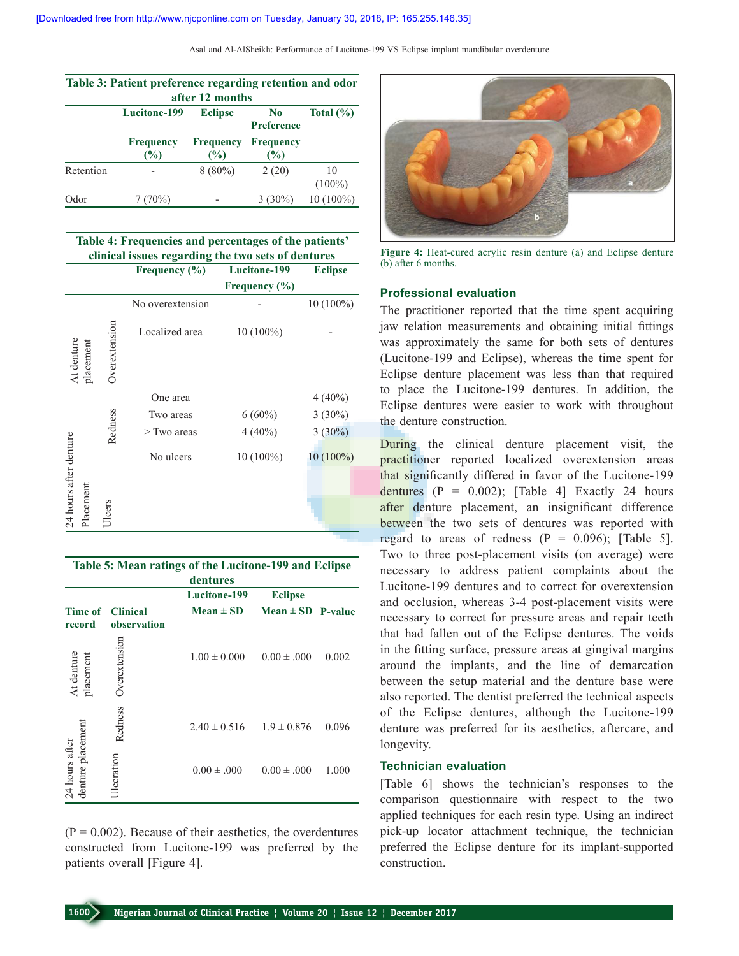| Table 3: Patient preference regarding retention and odor<br>after 12 months |                         |                         |                                     |                 |
|-----------------------------------------------------------------------------|-------------------------|-------------------------|-------------------------------------|-----------------|
|                                                                             | Lucitone-199            | <b>Eclipse</b>          | N <sub>0</sub><br><b>Preference</b> | Total $(\% )$   |
|                                                                             | <b>Frequency</b><br>(%) | <b>Frequency</b><br>(%) | Frequency<br>(%)                    |                 |
| Retention                                                                   |                         | $8(80\%)$               | 2(20)                               | 10<br>$(100\%)$ |
| Odor                                                                        | $(70\%)$                |                         | $3(30\%)$                           | $10(100\%)$     |

| Table 4: Frequencies and percentages of the patients'<br>clinical issues regarding the two sets of dentures |           |                      |                   |                   |                |
|-------------------------------------------------------------------------------------------------------------|-----------|----------------------|-------------------|-------------------|----------------|
|                                                                                                             |           |                      | Frequency $(\% )$ | Lucitone-199      | <b>Eclipse</b> |
|                                                                                                             |           |                      |                   | Frequency $(\% )$ |                |
|                                                                                                             |           |                      | No overextension  |                   | $10(100\%)$    |
| At denture                                                                                                  | placement | <b>Overextension</b> | Localized area    | 10 (100%)         |                |
|                                                                                                             |           |                      | One area          |                   | $4(40\%)$      |
|                                                                                                             |           |                      | Two areas         | $6(60\%)$         | $3(30\%)$      |
|                                                                                                             |           | Redness              | $>$ Two areas     | $4(40\%)$         | $3(30\%)$      |
|                                                                                                             |           |                      | No ulcers         | 10 (100%)         | $10(100\%)$    |
|                                                                                                             |           |                      |                   |                   |                |
| 24 hours after denture                                                                                      | Placement | <b>JIcers</b>        |                   |                   |                |

| Table 5: Mean ratings of the Lucitone-199 and Eclipse<br>dentures |                 |                     |                       |       |
|-------------------------------------------------------------------|-----------------|---------------------|-----------------------|-------|
|                                                                   |                 | <b>Lucitone-199</b> | <b>Eclipse</b>        |       |
| Time of                                                           | <b>Clinical</b> | $Mean \pm SD$       | $Mean \pm SD$ P-value |       |
| record                                                            | observation     |                     |                       |       |
| At denture<br>placement                                           | Overextension   | $1.00 \pm 0.000$    | $0.00 \pm .000$       | 0.002 |
| denture placement<br>24 hours after                               | Redness         | $2.40 \pm 0.516$    | $1.9 \pm 0.876$       | 0.096 |
|                                                                   | Ulceration      | $0.00 \pm .000$     | $0.00 \pm .000$       | 1.000 |

 $(P = 0.002)$ . Because of their aesthetics, the overdentures constructed from Lucitone-199 was preferred by the patients overall [Figure 4].



**Figure 4:** Heat-cured acrylic resin denture (a) and Eclipse denture (b) after 6 months.

#### **Professional evaluation**

The practitioner reported that the time spent acquiring jaw relation measurements and obtaining initial fittings was approximately the same for both sets of dentures (Lucitone-199 and Eclipse), whereas the time spent for Eclipse denture placement was less than that required to place the Lucitone-199 dentures. In addition, the Eclipse dentures were easier to work with throughout the denture construction.

During the clinical denture placement visit, the practitioner reported localized overextension areas that significantly differed in favor of the Lucitone-199 dentures  $(P = 0.002)$ ; [Table 4] Exactly 24 hours after denture placement, an insignificant difference between the two sets of dentures was reported with regard to areas of redness  $(P = 0.096)$ ; [Table 5]. Two to three post-placement visits (on average) were necessary to address patient complaints about the Lucitone-199 dentures and to correct for overextension and occlusion, whereas 3-4 post-placement visits were necessary to correct for pressure areas and repair teeth that had fallen out of the Eclipse dentures. The voids in the fitting surface, pressure areas at gingival margins around the implants, and the line of demarcation between the setup material and the denture base were also reported. The dentist preferred the technical aspects of the Eclipse dentures, although the Lucitone-199 denture was preferred for its aesthetics, aftercare, and longevity.

## **Technician evaluation**

[Table 6] shows the technician's responses to the comparison questionnaire with respect to the two applied techniques for each resin type. Using an indirect pick-up locator attachment technique, the technician preferred the Eclipse denture for its implant-supported construction.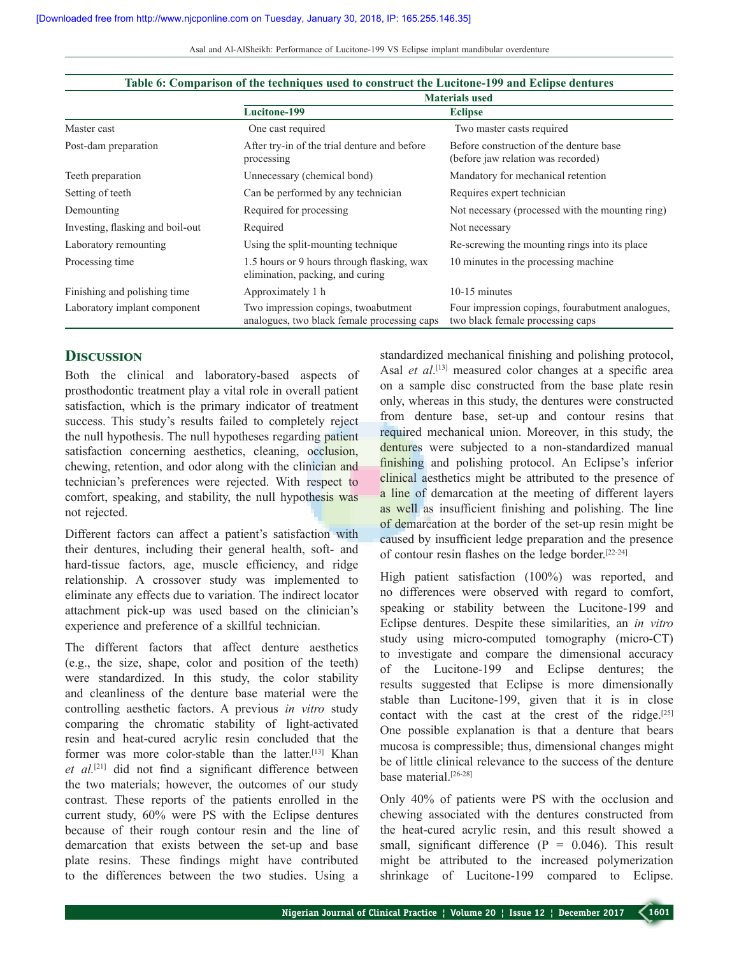|                                  | <b>Materials used</b>                                                              |                                                                                      |  |
|----------------------------------|------------------------------------------------------------------------------------|--------------------------------------------------------------------------------------|--|
|                                  | <b>Lucitone-199</b>                                                                | <b>Eclipse</b>                                                                       |  |
| Master cast                      | One cast required                                                                  | Two master casts required                                                            |  |
| Post-dam preparation             | After try-in of the trial denture and before<br>processing                         | Before construction of the denture base<br>(before jaw relation was recorded)        |  |
| Teeth preparation                | Unnecessary (chemical bond)                                                        | Mandatory for mechanical retention                                                   |  |
| Setting of teeth                 | Can be performed by any technician                                                 | Requires expert technician                                                           |  |
| Demounting                       | Required for processing                                                            | Not necessary (processed with the mounting ring)                                     |  |
| Investing, flasking and boil-out | Required                                                                           | Not necessary                                                                        |  |
| Laboratory remounting            | Using the split-mounting technique                                                 | Re-screwing the mounting rings into its place.                                       |  |
| Processing time                  | 1.5 hours or 9 hours through flasking, wax<br>elimination, packing, and curing     | 10 minutes in the processing machine                                                 |  |
| Finishing and polishing time     | Approximately 1 h                                                                  | 10-15 minutes                                                                        |  |
| Laboratory implant component     | Two impression copings, twoabutment<br>analogues, two black female processing caps | Four impression copings, fourabutment analogues,<br>two black female processing caps |  |

#### **Table 6: Comparison of the techniques used to construct the Lucitone-199 and Eclipse dentures**

#### **Discussion**

Both the clinical and laboratory-based aspects of prosthodontic treatment play a vital role in overall patient satisfaction, which is the primary indicator of treatment success. This study's results failed to completely reject the null hypothesis. The null hypotheses regarding patient satisfaction concerning aesthetics, cleaning, occlusion, chewing, retention, and odor along with the clinician and technician's preferences were rejected. With respect to comfort, speaking, and stability, the null hypothesis was not rejected.

Different factors can affect a patient's satisfaction with their dentures, including their general health, soft- and hard-tissue factors, age, muscle efficiency, and ridge relationship. A crossover study was implemented to eliminate any effects due to variation. The indirect locator attachment pick-up was used based on the clinician's experience and preference of a skillful technician.

The different factors that affect denture aesthetics (e.g., the size, shape, color and position of the teeth) were standardized. In this study, the color stability and cleanliness of the denture base material were the controlling aesthetic factors. A previous *in vitro* study comparing the chromatic stability of light-activated resin and heat-cured acrylic resin concluded that the former was more color-stable than the latter.<sup>[13]</sup> Khan *et al.*[21] did not find a significant difference between the two materials; however, the outcomes of our study contrast. These reports of the patients enrolled in the current study, 60% were PS with the Eclipse dentures because of their rough contour resin and the line of demarcation that exists between the set-up and base plate resins. These findings might have contributed to the differences between the two studies. Using a

standardized mechanical finishing and polishing protocol, Asal *et al*. [13] measured color changes at a specific area on a sample disc constructed from the base plate resin only, whereas in this study, the dentures were constructed from denture base, set-up and contour resins that required mechanical union. Moreover, in this study, the dentures were subjected to a non-standardized manual finishing and polishing protocol. An Eclipse's inferior clinical aesthetics might be attributed to the presence of a line of demarcation at the meeting of different layers as well as insufficient finishing and polishing. The line of demarcation at the border of the set-up resin might be caused by insufficient ledge preparation and the presence of contour resin flashes on the ledge border.[22-24]

High patient satisfaction (100%) was reported, and no differences were observed with regard to comfort, speaking or stability between the Lucitone-199 and Eclipse dentures. Despite these similarities, an *in vitro* study using micro-computed tomography (micro-CT) to investigate and compare the dimensional accuracy of the Lucitone-199 and Eclipse dentures; the results suggested that Eclipse is more dimensionally stable than Lucitone-199, given that it is in close contact with the cast at the crest of the ridge. $[25]$ One possible explanation is that a denture that bears mucosa is compressible; thus, dimensional changes might be of little clinical relevance to the success of the denture base material.<sup>[26-28]</sup>

Only 40% of patients were PS with the occlusion and chewing associated with the dentures constructed from the heat-cured acrylic resin, and this result showed a small, significant difference  $(P = 0.046)$ . This result might be attributed to the increased polymerization shrinkage of Lucitone-199 compared to Eclipse.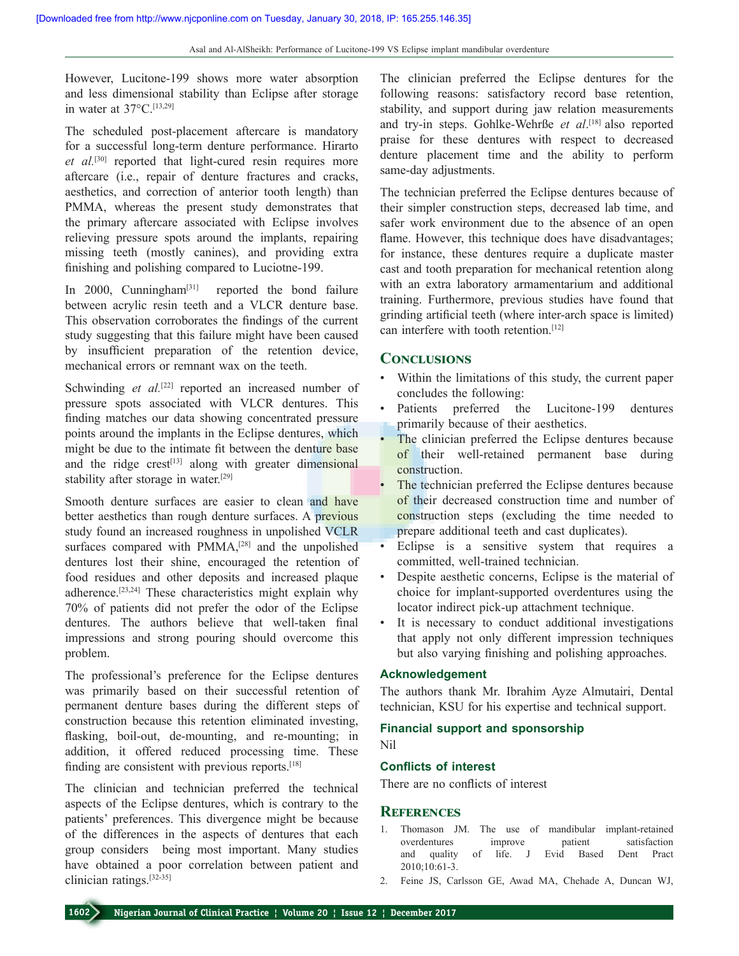However, Lucitone-199 shows more water absorption and less dimensional stability than Eclipse after storage in water at  $37^{\circ}$ C<sup>[13,29]</sup>

The scheduled post-placement aftercare is mandatory for a successful long-term denture performance. Hirarto et al.<sup>[30]</sup> reported that light-cured resin requires more aftercare (i.e., repair of denture fractures and cracks, aesthetics, and correction of anterior tooth length) than PMMA, whereas the present study demonstrates that the primary aftercare associated with Eclipse involves relieving pressure spots around the implants, repairing missing teeth (mostly canines), and providing extra finishing and polishing compared to Luciotne-199.

In 2000, Cunningham<sup>[31]</sup> reported the bond failure between acrylic resin teeth and a VLCR denture base. This observation corroborates the findings of the current study suggesting that this failure might have been caused by insufficient preparation of the retention device, mechanical errors or remnant wax on the teeth.

Schwinding *et al.*<sup>[22]</sup> reported an increased number of pressure spots associated with VLCR dentures. This finding matches our data showing concentrated pressure points around the implants in the Eclipse dentures, which might be due to the intimate fit between the denture base and the ridge crest<sup>[13]</sup> along with greater dimensional stability after storage in water.[29]

Smooth denture surfaces are easier to clean and have better aesthetics than rough denture surfaces. A previous study found an increased roughness in unpolished VCLR surfaces compared with PMMA,<sup>[28]</sup> and the unpolished dentures lost their shine, encouraged the retention of food residues and other deposits and increased plaque adherence.[23,24] These characteristics might explain why 70% of patients did not prefer the odor of the Eclipse dentures. The authors believe that well-taken final impressions and strong pouring should overcome this problem.

The professional's preference for the Eclipse dentures was primarily based on their successful retention of permanent denture bases during the different steps of construction because this retention eliminated investing, flasking, boil-out, de-mounting, and re-mounting; in addition, it offered reduced processing time. These finding are consistent with previous reports.[18]

The clinician and technician preferred the technical aspects of the Eclipse dentures, which is contrary to the patients' preferences. This divergence might be because of the differences in the aspects of dentures that each group considers being most important. Many studies have obtained a poor correlation between patient and clinician ratings.[32-35]

The clinician preferred the Eclipse dentures for the following reasons: satisfactory record base retention, stability, and support during jaw relation measurements and try-in steps. Gohlke-Wehrße *et al*. [18] also reported praise for these dentures with respect to decreased denture placement time and the ability to perform same-day adjustments.

The technician preferred the Eclipse dentures because of their simpler construction steps, decreased lab time, and safer work environment due to the absence of an open flame. However, this technique does have disadvantages; for instance, these dentures require a duplicate master cast and tooth preparation for mechanical retention along with an extra laboratory armamentarium and additional training. Furthermore, previous studies have found that grinding artificial teeth (where inter-arch space is limited) can interfere with tooth retention.<sup>[12]</sup>

# **Conclusions**

- Within the limitations of this study, the current paper concludes the following:
- Patients preferred the Lucitone-199 dentures primarily because of their aesthetics.
- The clinician preferred the Eclipse dentures because of their well-retained permanent base during construction.
- The technician preferred the Eclipse dentures because of their decreased construction time and number of construction steps (excluding the time needed to prepare additional teeth and cast duplicates).
- Eclipse is a sensitive system that requires a committed, well-trained technician.
- Despite aesthetic concerns, Eclipse is the material of choice for implant-supported overdentures using the locator indirect pick-up attachment technique.
- It is necessary to conduct additional investigations that apply not only different impression techniques but also varying finishing and polishing approaches.

#### **Acknowledgement**

The authors thank Mr. Ibrahim Ayze Almutairi, Dental technician, KSU for his expertise and technical support.

#### **Financial support and sponsorship**

Nil

#### **Conflicts of interest**

There are no conflicts of interest

## **References**

- 1. Thomason JM. The use of mandibular implant-retained overdentures improve patient satisfaction and quality of life. J Evid Based Dent Pract 2010;10:61-3.
- 2. Feine JS, Carlsson GE, Awad MA, Chehade A, Duncan WJ,